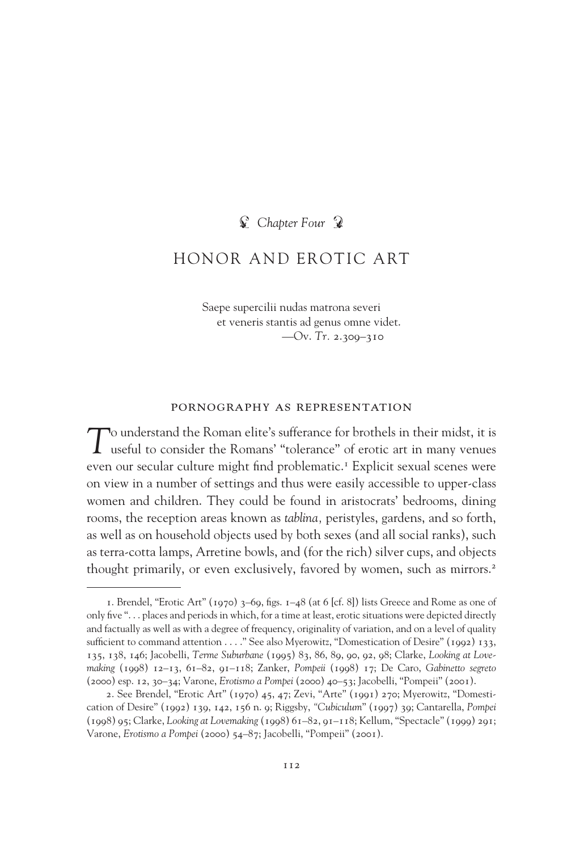# $\mathcal{C}$  Chapter Four  $\mathcal{D}$

# HONOR AND EROTIC ART

Saepe supercilii nudas matrona severi et veneris stantis ad genus omne videt. —Ov. *Tr.* 2.309–310

#### pornography as representation

*T*o understand the Roman elite's sufferance for brothels in their midst, it is useful to consider the Romans' "tolerance" of erotic art in many venues even our secular culture might find problematic.<sup>1</sup> Explicit sexual scenes were on view in a number of settings and thus were easily accessible to upper-class women and children. They could be found in aristocrats' bedrooms, dining rooms, the reception areas known as *tablina,* peristyles, gardens, and so forth, as well as on household objects used by both sexes (and all social ranks), such as terra-cotta lamps, Arretine bowls, and (for the rich) silver cups, and objects thought primarily, or even exclusively, favored by women, such as mirrors.<sup>2</sup>

<sup>1.</sup> Brendel, "Erotic Art" (1970) 3–69, figs. 1–48 (at 6 [cf. 8]) lists Greece and Rome as one of only five "... places and periods in which, for a time at least, erotic situations were depicted directly and factually as well as with a degree of frequency, originality of variation, and on a level of quality sufficient to command attention . . . ." See also Myerowitz, "Domestication of Desire" (1992) 133, 135, 138, 146; Jacobelli, *Terme Suburbane* (1995) 83, 86, 89, 90, 92, 98; Clarke, *Looking at Lovemaking* (1998) 12–13, 61–82, 91–118; Zanker, *Pompeii* (1998) 17; De Caro, *Gabinetto segreto* (2000) esp. 12, 30–34; Varone, *Erotismo a Pompei* (2000) 40–53; Jacobelli, "Pompeii" (2001).

<sup>2.</sup> See Brendel, "Erotic Art" (1970) 45, 47; Zevi, "Arte" (1991) 270; Myerowitz, "Domestication of Desire" (1992) 139, 142, 156 n. 9; Riggsby, *"Cubiculum*" (1997) 39; Cantarella, *Pompei* (1998) 95; Clarke, *Looking at Lovemaking* (1998) 61–82, 91–118; Kellum, "Spectacle" (1999) 291; Varone, *Erotismo a Pompei* (2000) 54–87; Jacobelli, "Pompeii" (2001).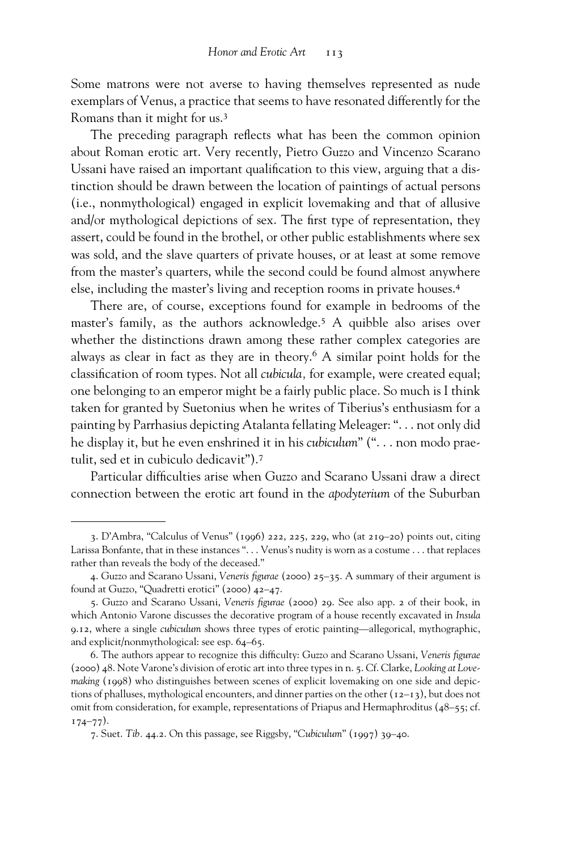Some matrons were not averse to having themselves represented as nude exemplars of Venus, a practice that seems to have resonated differently for the Romans than it might for us.3

The preceding paragraph reflects what has been the common opinion about Roman erotic art. Very recently, Pietro Guzzo and Vincenzo Scarano Ussani have raised an important qualification to this view, arguing that a distinction should be drawn between the location of paintings of actual persons (i.e., nonmythological) engaged in explicit lovemaking and that of allusive and/or mythological depictions of sex. The first type of representation, they assert, could be found in the brothel, or other public establishments where sex was sold, and the slave quarters of private houses, or at least at some remove from the master's quarters, while the second could be found almost anywhere else, including the master's living and reception rooms in private houses.4

There are, of course, exceptions found for example in bedrooms of the master's family, as the authors acknowledge.5 A quibble also arises over whether the distinctions drawn among these rather complex categories are always as clear in fact as they are in theory.6 A similar point holds for the classification of room types. Not all *cubicula*, for example, were created equal; one belonging to an emperor might be a fairly public place. So much is I think taken for granted by Suetonius when he writes of Tiberius's enthusiasm for a painting by Parrhasius depicting Atalanta fellating Meleager: ". . . not only did he display it, but he even enshrined it in his *cubiculum*" (". . . non modo praetulit, sed et in cubiculo dedicavit").7

Particular difficulties arise when Guzzo and Scarano Ussani draw a direct connection between the erotic art found in the *apodyterium* of the Suburban

<sup>3.</sup> D'Ambra, "Calculus of Venus" (1996) 222, 225, 229, who (at 219–20) points out, citing Larissa Bonfante, that in these instances ". . . Venus's nudity is worn as a costume . . . that replaces rather than reveals the body of the deceased."

<sup>4.</sup> Guzzo and Scarano Ussani, *Veneris figurae* (2000) 25–35. A summary of their argument is found at Guzzo, "Quadretti erotici" (2000) 42–47.

<sup>5.</sup> Guzzo and Scarano Ussani, Veneris *figurae* (2000) 29. See also app. 2 of their book, in which Antonio Varone discusses the decorative program of a house recently excavated in *Insula* 9.12, where a single *cubiculum* shows three types of erotic painting—allegorical, mythographic, and explicit/nonmythological: see esp. 64–65.

<sup>6.</sup> The authors appear to recognize this difficulty: Guzzo and Scarano Ussani, *Veneris figurae* (2000) 48. Note Varone's division of erotic art into three types in n. 5. Cf. Clarke, *Looking at Lovemaking* (1998) who distinguishes between scenes of explicit lovemaking on one side and depictions of phalluses, mythological encounters, and dinner parties on the other (12–13), but does not omit from consideration, for example, representations of Priapus and Hermaphroditus (48–55; cf.  $174-77$ ).

<sup>7.</sup> Suet. *Tib.* 44.2. On this passage, see Riggsby, "*Cubiculum*" (1997) 39–40.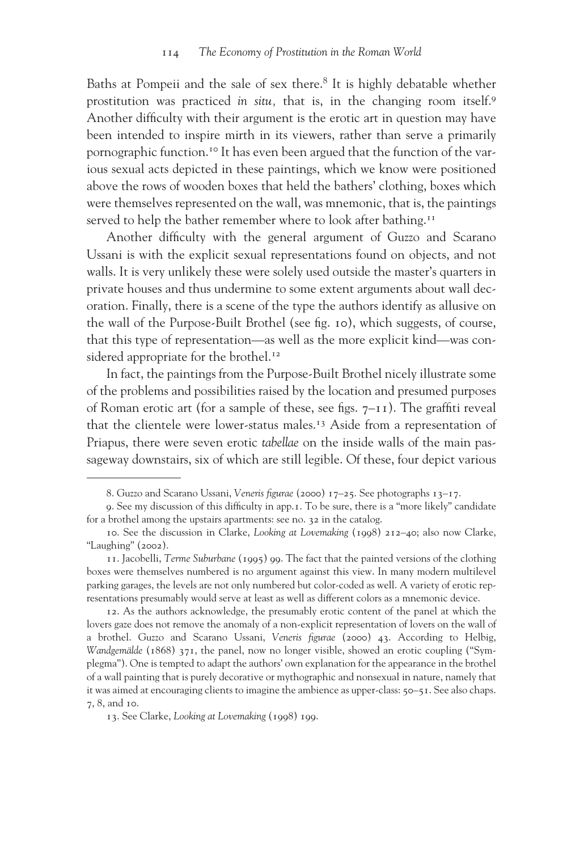Baths at Pompeii and the sale of sex there.<sup>8</sup> It is highly debatable whether prostitution was practiced *in situ,* that is, in the changing room itself.9 Another difficulty with their argument is the erotic art in question may have been intended to inspire mirth in its viewers, rather than serve a primarily pornographic function.<sup>10</sup> It has even been argued that the function of the various sexual acts depicted in these paintings, which we know were positioned above the rows of wooden boxes that held the bathers' clothing, boxes which were themselves represented on the wall, was mnemonic, that is, the paintings served to help the bather remember where to look after bathing.<sup>11</sup>

Another difficulty with the general argument of Guzzo and Scarano Ussani is with the explicit sexual representations found on objects, and not walls. It is very unlikely these were solely used outside the master's quarters in private houses and thus undermine to some extent arguments about wall decoration. Finally, there is a scene of the type the authors identify as allusive on the wall of the Purpose-Built Brothel (see fig. 10), which suggests, of course, that this type of representation—as well as the more explicit kind—was considered appropriate for the brothel.<sup>12</sup>

In fact, the paintings from the Purpose-Built Brothel nicely illustrate some of the problems and possibilities raised by the location and presumed purposes of Roman erotic art (for a sample of these, see figs.  $7-\text{I}$ ). The graffiti reveal that the clientele were lower-status males.<sup>13</sup> Aside from a representation of Priapus, there were seven erotic *tabellae* on the inside walls of the main passageway downstairs, six of which are still legible. Of these, four depict various

12. As the authors acknowledge, the presumably erotic content of the panel at which the lovers gaze does not remove the anomaly of a non-explicit representation of lovers on the wall of a brothel. Guzzo and Scarano Ussani, *Veneris ‹gurae* (2000) 43. According to Helbig, *Wandgemälde* (1868) 371, the panel, now no longer visible, showed an erotic coupling ("Symplegma"). One is tempted to adapt the authors' own explanation for the appearance in the brothel of a wall painting that is purely decorative or mythographic and nonsexual in nature, namely that it was aimed at encouraging clients to imagine the ambience as upper-class: 50–51. See also chaps. 7, 8, and 10.

13. See Clarke, *Looking at Lovemaking* (1998) 199.

<sup>8.</sup> Guzzo and Scarano Ussani, *Veneris figurae* (2000) 17–25. See photographs 13–17.

<sup>9.</sup> See my discussion of this difficulty in app.1. To be sure, there is a "more likely" candidate for a brothel among the upstairs apartments: see no. 32 in the catalog.

<sup>10.</sup> See the discussion in Clarke, *Looking at Lovemaking* (1998) 212–40; also now Clarke, "Laughing" (2002).

<sup>11.</sup> Jacobelli, *Terme Suburbane* (1995) 99. The fact that the painted versions of the clothing boxes were themselves numbered is no argument against this view. In many modern multilevel parking garages, the levels are not only numbered but color-coded as well. A variety of erotic representations presumably would serve at least as well as different colors as a mnemonic device.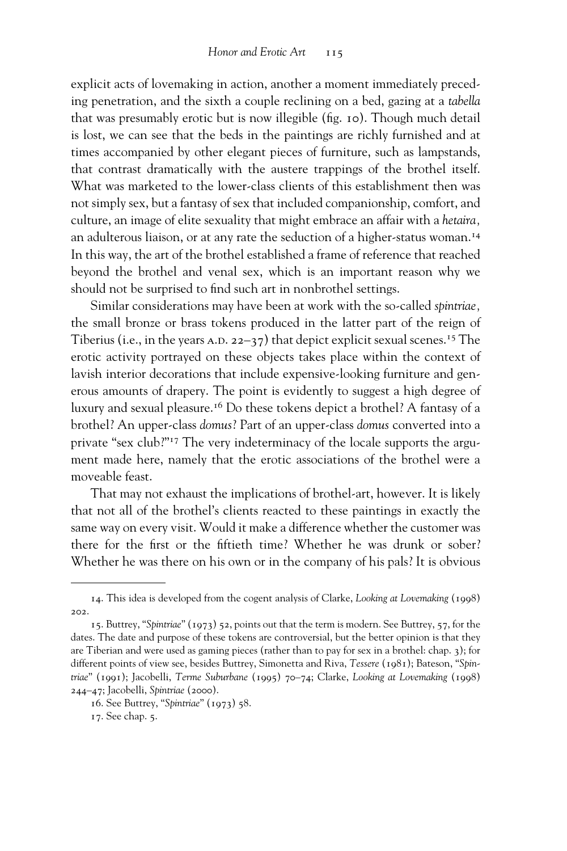explicit acts of lovemaking in action, another a moment immediately preceding penetration, and the sixth a couple reclining on a bed, gazing at a *tabella* that was presumably erotic but is now illegible (fig. 10). Though much detail is lost, we can see that the beds in the paintings are richly furnished and at times accompanied by other elegant pieces of furniture, such as lampstands, that contrast dramatically with the austere trappings of the brothel itself. What was marketed to the lower-class clients of this establishment then was not simply sex, but a fantasy of sex that included companionship, comfort, and culture, an image of elite sexuality that might embrace an affair with a *hetaira,* an adulterous liaison, or at any rate the seduction of a higher-status woman.<sup>14</sup> In this way, the art of the brothel established a frame of reference that reached beyond the brothel and venal sex, which is an important reason why we should not be surprised to find such art in nonbrothel settings.

Similar considerations may have been at work with the so-called *spintriae,* the small bronze or brass tokens produced in the latter part of the reign of Tiberius (i.e., in the years  $A.D. 22-37$ ) that depict explicit sexual scenes.<sup>15</sup> The erotic activity portrayed on these objects takes place within the context of lavish interior decorations that include expensive-looking furniture and generous amounts of drapery. The point is evidently to suggest a high degree of luxury and sexual pleasure.16 Do these tokens depict a brothel? A fantasy of a brothel? An upper-class *domus*? Part of an upper-class *domus* converted into a private "sex club?"17 The very indeterminacy of the locale supports the argument made here, namely that the erotic associations of the brothel were a moveable feast.

That may not exhaust the implications of brothel-art, however. It is likely that not all of the brothel's clients reacted to these paintings in exactly the same way on every visit. Would it make a difference whether the customer was there for the first or the fiftieth time? Whether he was drunk or sober? Whether he was there on his own or in the company of his pals? It is obvious

<sup>14.</sup> This idea is developed from the cogent analysis of Clarke, *Looking at Lovemaking* (1998) 202.

<sup>15.</sup> Buttrey, "*Spintriae*" (1973) 52, points out that the term is modern. See Buttrey, 57, for the dates. The date and purpose of these tokens are controversial, but the better opinion is that they are Tiberian and were used as gaming pieces (rather than to pay for sex in a brothel: chap. 3); for different points of view see, besides Buttrey, Simonetta and Riva, *Tessere* (1981); Bateson, "*Spintriae*" (1991); Jacobelli, *Terme Suburbane* (1995) 70–74; Clarke, *Looking at Lovemaking* (1998) 244–47; Jacobelli, *Spintriae* (2000).

<sup>16.</sup> See Buttrey, "*Spintriae*" (1973) 58.

<sup>17.</sup> See chap. 5.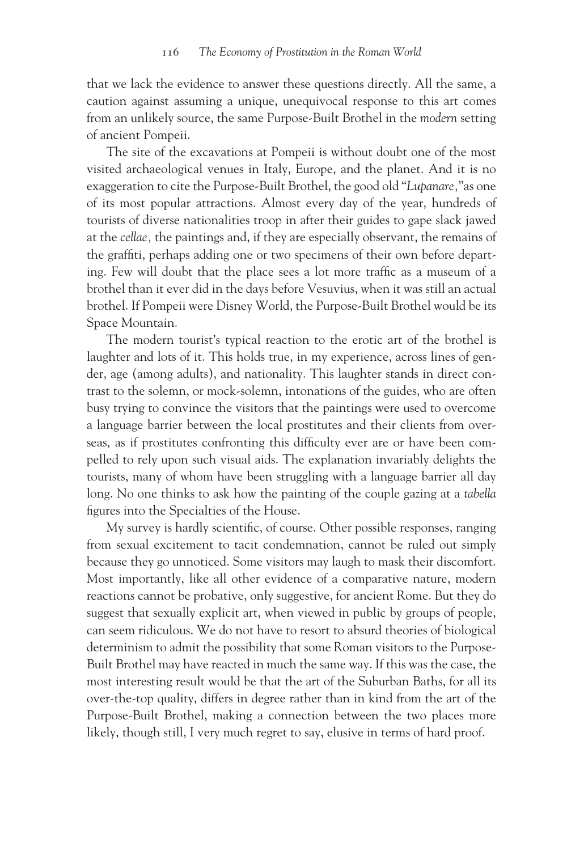that we lack the evidence to answer these questions directly. All the same, a caution against assuming a unique, unequivocal response to this art comes from an unlikely source, the same Purpose-Built Brothel in the *modern* setting of ancient Pompeii.

The site of the excavations at Pompeii is without doubt one of the most visited archaeological venues in Italy, Europe, and the planet. And it is no exaggeration to cite the Purpose-Built Brothel, the good old "*Lupanare,*"as one of its most popular attractions. Almost every day of the year, hundreds of tourists of diverse nationalities troop in after their guides to gape slack jawed at the *cellae,* the paintings and, if they are especially observant, the remains of the graffiti, perhaps adding one or two specimens of their own before departing. Few will doubt that the place sees a lot more traffic as a museum of a brothel than it ever did in the days before Vesuvius, when it was still an actual brothel. If Pompeii were Disney World, the Purpose-Built Brothel would be its Space Mountain.

The modern tourist's typical reaction to the erotic art of the brothel is laughter and lots of it. This holds true, in my experience, across lines of gender, age (among adults), and nationality. This laughter stands in direct contrast to the solemn, or mock-solemn, intonations of the guides, who are often busy trying to convince the visitors that the paintings were used to overcome a language barrier between the local prostitutes and their clients from overseas, as if prostitutes confronting this difficulty ever are or have been compelled to rely upon such visual aids. The explanation invariably delights the tourists, many of whom have been struggling with a language barrier all day long. No one thinks to ask how the painting of the couple gazing at a *tabella* figures into the Specialties of the House.

My survey is hardly scientific, of course. Other possible responses, ranging from sexual excitement to tacit condemnation, cannot be ruled out simply because they go unnoticed. Some visitors may laugh to mask their discomfort. Most importantly, like all other evidence of a comparative nature, modern reactions cannot be probative, only suggestive, for ancient Rome. But they do suggest that sexually explicit art, when viewed in public by groups of people, can seem ridiculous. We do not have to resort to absurd theories of biological determinism to admit the possibility that some Roman visitors to the Purpose-Built Brothel may have reacted in much the same way. If this was the case, the most interesting result would be that the art of the Suburban Baths, for all its over-the-top quality, differs in degree rather than in kind from the art of the Purpose-Built Brothel, making a connection between the two places more likely, though still, I very much regret to say, elusive in terms of hard proof.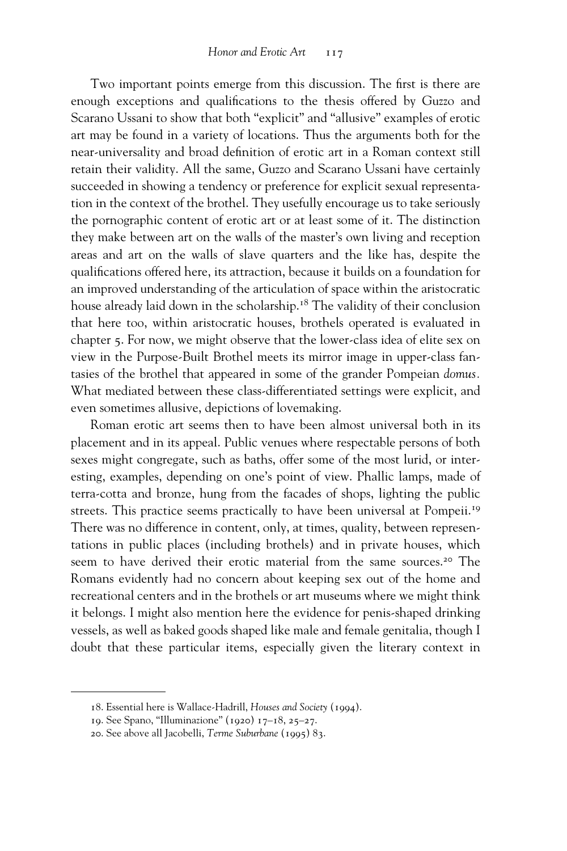Two important points emerge from this discussion. The first is there are enough exceptions and qualifications to the thesis offered by Guzzo and Scarano Ussani to show that both "explicit" and "allusive" examples of erotic art may be found in a variety of locations. Thus the arguments both for the near-universality and broad definition of erotic art in a Roman context still retain their validity. All the same, Guzzo and Scarano Ussani have certainly succeeded in showing a tendency or preference for explicit sexual representation in the context of the brothel. They usefully encourage us to take seriously the pornographic content of erotic art or at least some of it. The distinction they make between art on the walls of the master's own living and reception areas and art on the walls of slave quarters and the like has, despite the qualifications offered here, its attraction, because it builds on a foundation for an improved understanding of the articulation of space within the aristocratic house already laid down in the scholarship.18 The validity of their conclusion that here too, within aristocratic houses, brothels operated is evaluated in chapter 5. For now, we might observe that the lower-class idea of elite sex on view in the Purpose-Built Brothel meets its mirror image in upper-class fantasies of the brothel that appeared in some of the grander Pompeian *domus.* What mediated between these class-differentiated settings were explicit, and even sometimes allusive, depictions of lovemaking.

Roman erotic art seems then to have been almost universal both in its placement and in its appeal. Public venues where respectable persons of both sexes might congregate, such as baths, offer some of the most lurid, or interesting, examples, depending on one's point of view. Phallic lamps, made of terra-cotta and bronze, hung from the facades of shops, lighting the public streets. This practice seems practically to have been universal at Pompeii.<sup>19</sup> There was no difference in content, only, at times, quality, between representations in public places (including brothels) and in private houses, which seem to have derived their erotic material from the same sources.<sup>20</sup> The Romans evidently had no concern about keeping sex out of the home and recreational centers and in the brothels or art museums where we might think it belongs. I might also mention here the evidence for penis-shaped drinking vessels, as well as baked goods shaped like male and female genitalia, though I doubt that these particular items, especially given the literary context in

<sup>18.</sup> Essential here is Wallace-Hadrill, *Houses and Society* (1994).

<sup>19.</sup> See Spano, "Illuminazione" (1920) 17–18, 25–27.

<sup>20.</sup> See above all Jacobelli, *Terme Suburbane* (1995) 83.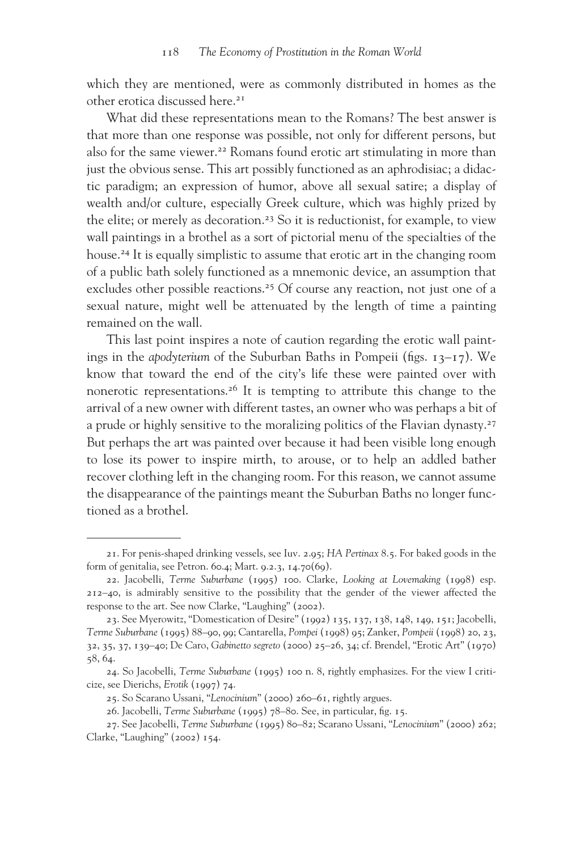which they are mentioned, were as commonly distributed in homes as the other erotica discussed here.21

What did these representations mean to the Romans? The best answer is that more than one response was possible, not only for different persons, but also for the same viewer.<sup>22</sup> Romans found erotic art stimulating in more than just the obvious sense. This art possibly functioned as an aphrodisiac; a didactic paradigm; an expression of humor, above all sexual satire; a display of wealth and/or culture, especially Greek culture, which was highly prized by the elite; or merely as decoration.23 So it is reductionist, for example, to view wall paintings in a brothel as a sort of pictorial menu of the specialties of the house.<sup>24</sup> It is equally simplistic to assume that erotic art in the changing room of a public bath solely functioned as a mnemonic device, an assumption that excludes other possible reactions.<sup>25</sup> Of course any reaction, not just one of a sexual nature, might well be attenuated by the length of time a painting remained on the wall.

This last point inspires a note of caution regarding the erotic wall paintings in the *apodyterium* of the Suburban Baths in Pompeii (figs. 13–17). We know that toward the end of the city's life these were painted over with nonerotic representations.<sup>26</sup> It is tempting to attribute this change to the arrival of a new owner with different tastes, an owner who was perhaps a bit of a prude or highly sensitive to the moralizing politics of the Flavian dynasty.<sup>27</sup> But perhaps the art was painted over because it had been visible long enough to lose its power to inspire mirth, to arouse, or to help an addled bather recover clothing left in the changing room. For this reason, we cannot assume the disappearance of the paintings meant the Suburban Baths no longer functioned as a brothel.

<sup>21.</sup> For penis-shaped drinking vessels, see Iuv. 2.95; *HA Pertinax* 8.5. For baked goods in the form of genitalia, see Petron. 60.4; Mart. 9.2.3, 14.70(69).

<sup>22.</sup> Jacobelli, *Terme Suburbane* (1995) 100. Clarke, *Looking at Lovemaking* (1998) esp. 212–40, is admirably sensitive to the possibility that the gender of the viewer affected the response to the art. See now Clarke, "Laughing" (2002).

<sup>23.</sup> See Myerowitz, "Domestication of Desire" (1992) 135, 137, 138, 148, 149, 151; Jacobelli, *Terme Suburbane* (1995) 88–90, 99; Cantarella, *Pompei* (1998) 95; Zanker, *Pompeii* (1998) 20, 23, 32, 35, 37, 139–40; De Caro, *Gabinetto segreto* (2000) 25–26, 34; cf. Brendel, "Erotic Art" (1970) 58, 64.

<sup>24.</sup> So Jacobelli, *Terme Suburbane* (1995) 100 n. 8, rightly emphasizes. For the view I criticize, see Dierichs, *Erotik* (1997) 74.

<sup>25.</sup> So Scarano Ussani, "*Lenocinium*" (2000) 260–61, rightly argues.

<sup>26.</sup> Jacobelli, *Terme Suburbane* (1995) 78–80. See, in particular, fig. 15.

<sup>27.</sup> See Jacobelli, *Terme Suburbane* (1995) 80–82; Scarano Ussani, "*Lenocinium*" (2000) 262; Clarke, "Laughing" (2002) 154.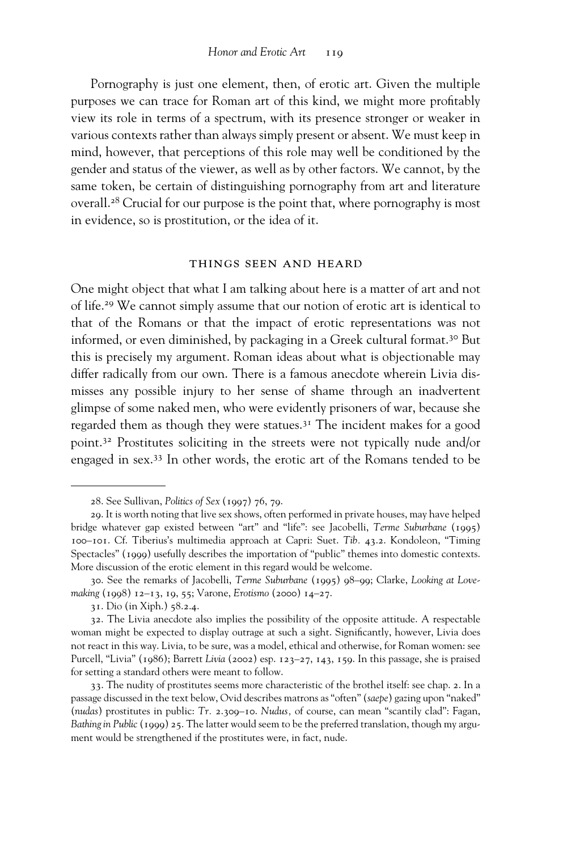Pornography is just one element, then, of erotic art. Given the multiple purposes we can trace for Roman art of this kind, we might more profitably view its role in terms of a spectrum, with its presence stronger or weaker in various contexts rather than always simply present or absent. We must keep in mind, however, that perceptions of this role may well be conditioned by the gender and status of the viewer, as well as by other factors. We cannot, by the same token, be certain of distinguishing pornography from art and literature overall.28 Crucial for our purpose is the point that, where pornography is most in evidence, so is prostitution, or the idea of it.

#### things seen and heard

One might object that what I am talking about here is a matter of art and not of life.29 We cannot simply assume that our notion of erotic art is identical to that of the Romans or that the impact of erotic representations was not informed, or even diminished, by packaging in a Greek cultural format.30 But this is precisely my argument. Roman ideas about what is objectionable may differ radically from our own. There is a famous anecdote wherein Livia dismisses any possible injury to her sense of shame through an inadvertent glimpse of some naked men, who were evidently prisoners of war, because she regarded them as though they were statues.<sup>31</sup> The incident makes for a good point.32 Prostitutes soliciting in the streets were not typically nude and/or engaged in sex.33 In other words, the erotic art of the Romans tended to be

<sup>28.</sup> See Sullivan, *Politics of Sex* (1997) 76, 79.

<sup>29.</sup> It is worth noting that live sex shows, often performed in private houses, may have helped bridge whatever gap existed between "art" and "life": see Jacobelli, *Terme Suburbane* (1995) 100–101. Cf. Tiberius's multimedia approach at Capri: Suet. *Tib.* 43.2. Kondoleon, "Timing Spectacles" (1999) usefully describes the importation of "public" themes into domestic contexts. More discussion of the erotic element in this regard would be welcome.

<sup>30.</sup> See the remarks of Jacobelli, *Terme Suburbane* (1995) 98–99; Clarke, *Looking at Lovemaking* (1998) 12–13, 19, 55; Varone, *Erotismo* (2000) 14–27.

<sup>31.</sup> Dio (in Xiph.) 58.2.4.

<sup>32.</sup> The Livia anecdote also implies the possibility of the opposite attitude. A respectable woman might be expected to display outrage at such a sight. Significantly, however, Livia does not react in this way. Livia, to be sure, was a model, ethical and otherwise, for Roman women: see Purcell, "Livia" (1986); Barrett *Livia* (2002) esp. 123–27, 143, 159. In this passage, she is praised for setting a standard others were meant to follow.

<sup>33.</sup> The nudity of prostitutes seems more characteristic of the brothel itself: see chap. 2. In a passage discussed in the text below, Ovid describes matrons as "often" (*saepe*) gazing upon "naked" (*nudas*) prostitutes in public: *Tr.* 2.309–10. *Nudus,* of course, can mean "scantily clad": Fagan, *Bathing in Public* (1999) 25. The latter would seem to be the preferred translation, though my argument would be strengthened if the prostitutes were, in fact, nude.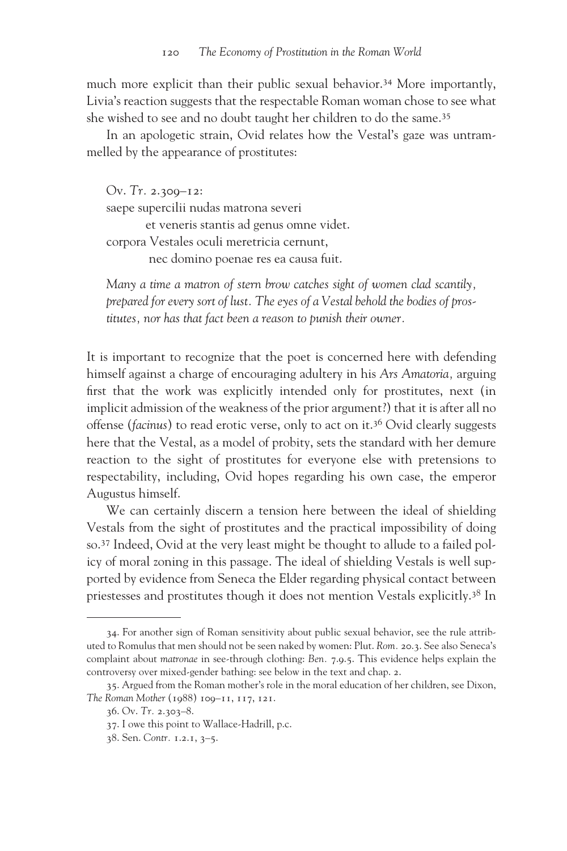much more explicit than their public sexual behavior.34 More importantly, Livia's reaction suggests that the respectable Roman woman chose to see what she wished to see and no doubt taught her children to do the same.35

In an apologetic strain, Ovid relates how the Vestal's gaze was untrammelled by the appearance of prostitutes:

Ov. *Tr.* 2.309–12: saepe supercilii nudas matrona severi et veneris stantis ad genus omne videt. corpora Vestales oculi meretricia cernunt, nec domino poenae res ea causa fuit.

*Many a time a matron of stern brow catches sight of women clad scantily, prepared for every sort of lust. The eyes of a Vestal behold the bodies of prostitutes, nor has that fact been a reason to punish their owner.* 

It is important to recognize that the poet is concerned here with defending himself against a charge of encouraging adultery in his *Ars Amatoria,* arguing first that the work was explicitly intended only for prostitutes, next (in implicit admission of the weakness of the prior argument?) that it is after all no offense (*facinus*) to read erotic verse, only to act on it.36 Ovid clearly suggests here that the Vestal, as a model of probity, sets the standard with her demure reaction to the sight of prostitutes for everyone else with pretensions to respectability, including, Ovid hopes regarding his own case, the emperor Augustus himself.

We can certainly discern a tension here between the ideal of shielding Vestals from the sight of prostitutes and the practical impossibility of doing so.37 Indeed, Ovid at the very least might be thought to allude to a failed policy of moral zoning in this passage. The ideal of shielding Vestals is well supported by evidence from Seneca the Elder regarding physical contact between priestesses and prostitutes though it does not mention Vestals explicitly.38 In

<sup>34.</sup> For another sign of Roman sensitivity about public sexual behavior, see the rule attributed to Romulus that men should not be seen naked by women: Plut. *Rom.* 20.3. See also Seneca's complaint about *matronae* in see-through clothing: *Ben.* 7.9.5. This evidence helps explain the controversy over mixed-gender bathing: see below in the text and chap. 2.

<sup>35.</sup> Argued from the Roman mother's role in the moral education of her children, see Dixon, *The Roman Mother* (1988) 109–11, 117, 121.

<sup>36.</sup> Ov. *Tr.* 2.303–8.

<sup>37.</sup> I owe this point to Wallace-Hadrill, p.c.

<sup>38.</sup> Sen. *Contr.* 1.2.1, 3–5.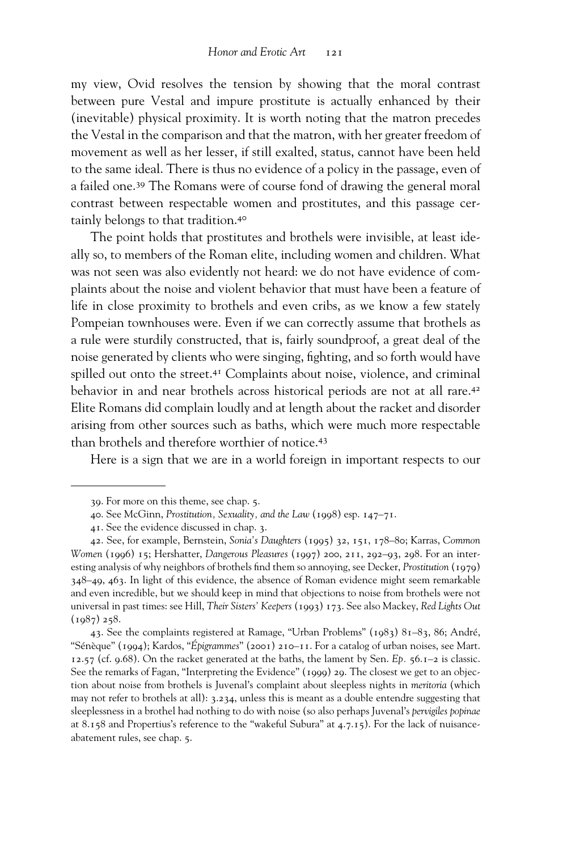my view, Ovid resolves the tension by showing that the moral contrast between pure Vestal and impure prostitute is actually enhanced by their (inevitable) physical proximity. It is worth noting that the matron precedes the Vestal in the comparison and that the matron, with her greater freedom of movement as well as her lesser, if still exalted, status, cannot have been held to the same ideal. There is thus no evidence of a policy in the passage, even of a failed one.<sup>39</sup> The Romans were of course fond of drawing the general moral contrast between respectable women and prostitutes, and this passage certainly belongs to that tradition.40

The point holds that prostitutes and brothels were invisible, at least ideally so, to members of the Roman elite, including women and children. What was not seen was also evidently not heard: we do not have evidence of complaints about the noise and violent behavior that must have been a feature of life in close proximity to brothels and even cribs, as we know a few stately Pompeian townhouses were. Even if we can correctly assume that brothels as a rule were sturdily constructed, that is, fairly soundproof, a great deal of the noise generated by clients who were singing, fighting, and so forth would have spilled out onto the street.<sup>41</sup> Complaints about noise, violence, and criminal behavior in and near brothels across historical periods are not at all rare.<sup>42</sup> Elite Romans did complain loudly and at length about the racket and disorder arising from other sources such as baths, which were much more respectable than brothels and therefore worthier of notice.43

Here is a sign that we are in a world foreign in important respects to our

<sup>39.</sup> For more on this theme, see chap. 5.

<sup>40.</sup> See McGinn, *Prostitution, Sexuality, and the Law* (1998) esp. 147–71.

<sup>41.</sup> See the evidence discussed in chap. 3.

<sup>42.</sup> See, for example, Bernstein, *Sonia's Daughters* (1995) 32, 151, 178–80; Karras, *Common Women* (1996) 15; Hershatter, *Dangerous Pleasures* (1997) 200, 211, 292–93, 298. For an interesting analysis of why neighbors of brothels find them so annoying, see Decker, *Prostitution* (1979) 348–49, 463. In light of this evidence, the absence of Roman evidence might seem remarkable and even incredible, but we should keep in mind that objections to noise from brothels were not universal in past times: see Hill, *Their Sisters' Keepers* (1993) 173. See also Mackey, *Red Lights Out*  $(1087)$  258.

<sup>43.</sup> See the complaints registered at Ramage, "Urban Problems" (1983) 81–83, 86; André, "Sénèque" (1994); Kardos, "*Épigrammes*" (2001) 210–11. For a catalog of urban noises, see Mart. 12.57 (cf. 9.68). On the racket generated at the baths, the lament by Sen. *Ep.* 56.1–2 is classic. See the remarks of Fagan, "Interpreting the Evidence" (1999) 29. The closest we get to an objection about noise from brothels is Juvenal's complaint about sleepless nights in *meritoria* (which may not refer to brothels at all): 3.234, unless this is meant as a double entendre suggesting that sleeplessness in a brothel had nothing to do with noise (so also perhaps Juvenal's *pervigiles popinae* at 8.158 and Propertius's reference to the "wakeful Subura" at 4.7.15). For the lack of nuisanceabatement rules, see chap. 5.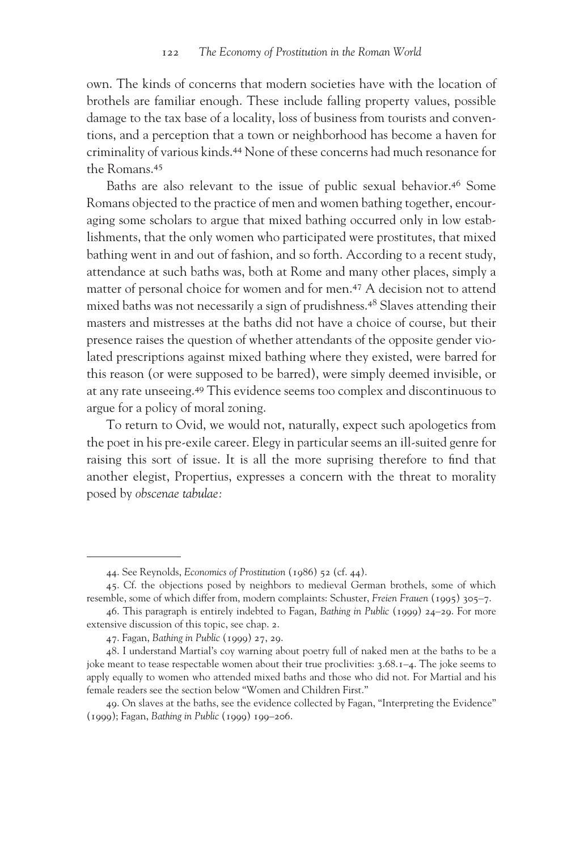own. The kinds of concerns that modern societies have with the location of brothels are familiar enough. These include falling property values, possible damage to the tax base of a locality, loss of business from tourists and conventions, and a perception that a town or neighborhood has become a haven for criminality of various kinds.44 None of these concerns had much resonance for the Romans.45

Baths are also relevant to the issue of public sexual behavior.46 Some Romans objected to the practice of men and women bathing together, encouraging some scholars to argue that mixed bathing occurred only in low establishments, that the only women who participated were prostitutes, that mixed bathing went in and out of fashion, and so forth. According to a recent study, attendance at such baths was, both at Rome and many other places, simply a matter of personal choice for women and for men.<sup>47</sup> A decision not to attend mixed baths was not necessarily a sign of prudishness.48 Slaves attending their masters and mistresses at the baths did not have a choice of course, but their presence raises the question of whether attendants of the opposite gender violated prescriptions against mixed bathing where they existed, were barred for this reason (or were supposed to be barred), were simply deemed invisible, or at any rate unseeing.49 This evidence seems too complex and discontinuous to argue for a policy of moral zoning.

To return to Ovid, we would not, naturally, expect such apologetics from the poet in his pre-exile career. Elegy in particular seems an ill-suited genre for raising this sort of issue. It is all the more suprising therefore to find that another elegist, Propertius, expresses a concern with the threat to morality posed by *obscenae tabulae:*

<sup>44.</sup> See Reynolds, *Economics of Prostitution* (1986) 52 (cf. 44).

<sup>45.</sup> Cf. the objections posed by neighbors to medieval German brothels, some of which resemble, some of which differ from, modern complaints: Schuster, *Freien Frauen* (1995) 305–7.

<sup>46.</sup> This paragraph is entirely indebted to Fagan, *Bathing in Public* (1999) 24–29. For more extensive discussion of this topic, see chap. 2.

<sup>47.</sup> Fagan, *Bathing in Public* (1999) 27, 29.

<sup>48.</sup> I understand Martial's coy warning about poetry full of naked men at the baths to be a joke meant to tease respectable women about their true proclivities: 3.68.1–4. The joke seems to apply equally to women who attended mixed baths and those who did not. For Martial and his female readers see the section below "Women and Children First."

<sup>49.</sup> On slaves at the baths, see the evidence collected by Fagan, "Interpreting the Evidence" (1999); Fagan, *Bathing in Public* (1999) 199–206.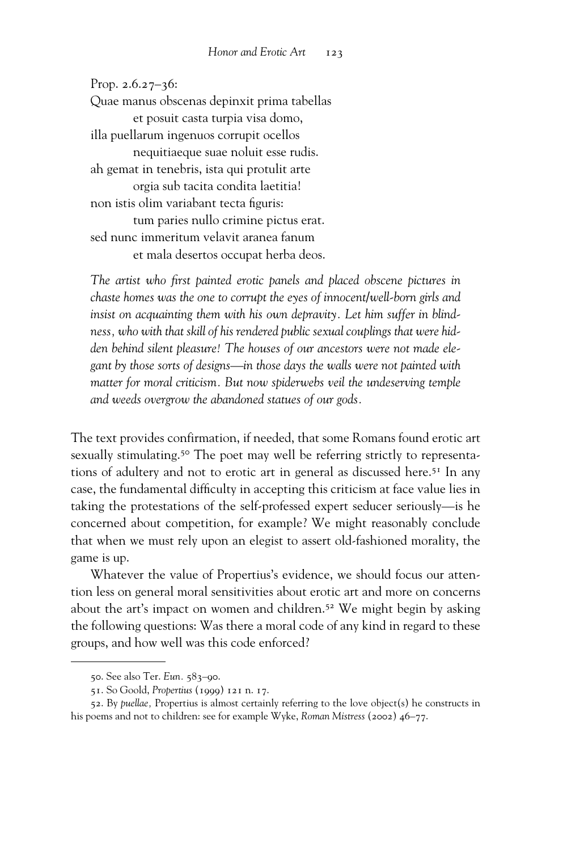Prop. 2.6.27-36:

Quae manus obscenas depinxit prima tabellas et posuit casta turpia visa domo, illa puellarum ingenuos corrupit ocellos nequitiaeque suae noluit esse rudis. ah gemat in tenebris, ista qui protulit arte orgia sub tacita condita laetitia! non istis olim variabant tecta figuris: tum paries nullo crimine pictus erat. sed nunc immeritum velavit aranea fanum

et mala desertos occupat herba deos.

*The artist who first painted erotic panels and placed obscene pictures in chaste homes was the one to corrupt the eyes of innocent/well-born girls and insist on acquainting them with his own depravity. Let him suffer in blindness, who with that skill of his rendered public sexual couplings that were hidden behind silent pleasure! The houses of our ancestors were not made elegant by those sorts of designs—in those days the walls were not painted with matter for moral criticism. But now spiderwebs veil the undeserving temple and weeds overgrow the abandoned statues of our gods.*

The text provides confirmation, if needed, that some Romans found erotic art sexually stimulating.<sup>50</sup> The poet may well be referring strictly to representations of adultery and not to erotic art in general as discussed here.<sup>51</sup> In any case, the fundamental difficulty in accepting this criticism at face value lies in taking the protestations of the self-professed expert seducer seriously—is he concerned about competition, for example? We might reasonably conclude that when we must rely upon an elegist to assert old-fashioned morality, the game is up.

Whatever the value of Propertius's evidence, we should focus our attention less on general moral sensitivities about erotic art and more on concerns about the art's impact on women and children.52 We might begin by asking the following questions: Was there a moral code of any kind in regard to these groups, and how well was this code enforced?

<sup>50.</sup> See also Ter. *Eun.* 583–90.

<sup>51.</sup> So Goold, *Propertius* (1999) 121 n. 17.

<sup>52.</sup> By *puellae,* Propertius is almost certainly referring to the love object(s) he constructs in his poems and not to children: see for example Wyke, *Roman Mistress* (2002) 46–77.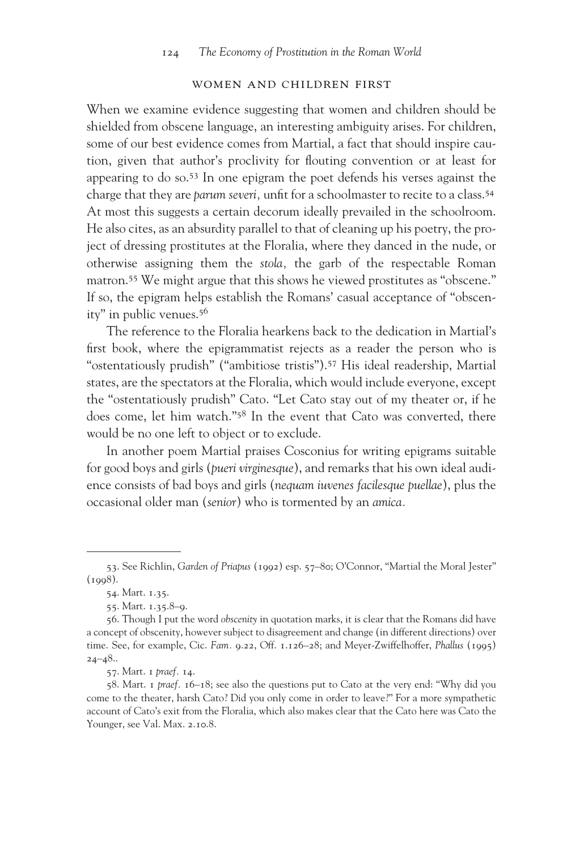### WOMEN AND CHILDREN FIRST

When we examine evidence suggesting that women and children should be shielded from obscene language, an interesting ambiguity arises. For children, some of our best evidence comes from Martial, a fact that should inspire caution, given that author's proclivity for flouting convention or at least for appearing to do so.53 In one epigram the poet defends his verses against the charge that they are *parum severi*, unfit for a schoolmaster to recite to a class.<sup>54</sup> At most this suggests a certain decorum ideally prevailed in the schoolroom. He also cites, as an absurdity parallel to that of cleaning up his poetry, the project of dressing prostitutes at the Floralia, where they danced in the nude, or otherwise assigning them the *stola,* the garb of the respectable Roman matron.55 We might argue that this shows he viewed prostitutes as "obscene." If so, the epigram helps establish the Romans' casual acceptance of "obscenity" in public venues.56

The reference to the Floralia hearkens back to the dedication in Martial's first book, where the epigrammatist rejects as a reader the person who is "ostentatiously prudish" ("ambitiose tristis").57 His ideal readership, Martial states, are the spectators at the Floralia, which would include everyone, except the "ostentatiously prudish" Cato. "Let Cato stay out of my theater or, if he does come, let him watch."58 In the event that Cato was converted, there would be no one left to object or to exclude.

In another poem Martial praises Cosconius for writing epigrams suitable for good boys and girls (*pueri virginesque*), and remarks that his own ideal audience consists of bad boys and girls (*nequam iuvenes facilesque puellae*), plus the occasional older man (*senior*) who is tormented by an *amica.*

<sup>53.</sup> See Richlin, *Garden of Priapus* (1992) esp. 57–80; O'Connor, "Martial the Moral Jester"  $(1998).$ 

<sup>54.</sup> Mart. 1.35.

<sup>55.</sup> Mart. 1.35.8–9.

<sup>56.</sup> Though I put the word *obscenity* in quotation marks, it is clear that the Romans did have a concept of obscenity, however subject to disagreement and change (in different directions) over time. See, for example, Cic. *Fam.* 9.22, Off. 1.126–28; and Meyer-Zwiffelhoffer, *Phallus* (1995)  $24 - 48.$ 

<sup>57.</sup> Mart. 1 *praef.* 14.

<sup>58.</sup> Mart. 1 *praef.* 16–18; see also the questions put to Cato at the very end: "Why did you come to the theater, harsh Cato? Did you only come in order to leave?" For a more sympathetic account of Cato's exit from the Floralia, which also makes clear that the Cato here was Cato the Younger, see Val. Max. 2.10.8.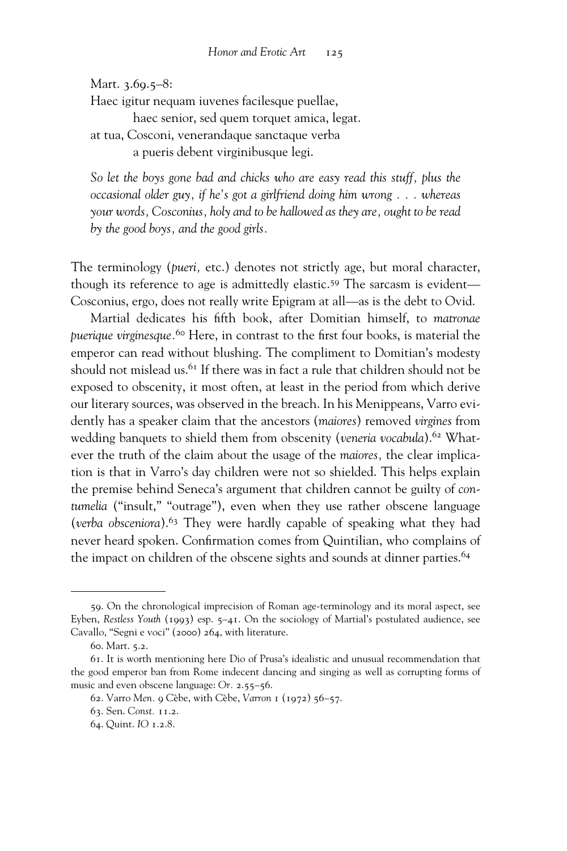Mart. 3.69.5–8:

Haec igitur nequam iuvenes facilesque puellae,

haec senior, sed quem torquet amica, legat.

at tua, Cosconi, venerandaque sanctaque verba

a pueris debent virginibusque legi.

*So let the boys gone bad and chicks who are easy read this stuff, plus the occasional older guy, if he's got a girlfriend doing him wrong . . . whereas your words, Cosconius, holy and to be hallowed as they are, ought to be read by the good boys, and the good girls.*

The terminology (*pueri,* etc.) denotes not strictly age, but moral character, though its reference to age is admittedly elastic.<sup>59</sup> The sarcasm is evident— Cosconius, ergo, does not really write Epigram at all—as is the debt to Ovid.

Martial dedicates his fifth book, after Domitian himself, to *matronae puerique virginesque*.<sup>60</sup> Here, in contrast to the first four books, is material the emperor can read without blushing. The compliment to Domitian's modesty should not mislead us.<sup>61</sup> If there was in fact a rule that children should not be exposed to obscenity, it most often, at least in the period from which derive our literary sources, was observed in the breach. In his Menippeans, Varro evidently has a speaker claim that the ancestors (*maiores*) removed *virgines* from wedding banquets to shield them from obscenity (*veneria vocabula*).<sup>62</sup> Whatever the truth of the claim about the usage of the *maiores,* the clear implication is that in Varro's day children were not so shielded. This helps explain the premise behind Seneca's argument that children cannot be guilty of *contumelia* ("insult," "outrage"), even when they use rather obscene language (*verba obsceniora*).63 They were hardly capable of speaking what they had never heard spoken. Confirmation comes from Quintilian, who complains of the impact on children of the obscene sights and sounds at dinner parties.<sup>64</sup>

<sup>59.</sup> On the chronological imprecision of Roman age-terminology and its moral aspect, see Eyben, *Restless Youth* (1993) esp. 5–41. On the sociology of Martial's postulated audience, see Cavallo, "Segni e voci" (2000) 264, with literature.

<sup>60.</sup> Mart. 5.2.

<sup>61.</sup> It is worth mentioning here Dio of Prusa's idealistic and unusual recommendation that the good emperor ban from Rome indecent dancing and singing as well as corrupting forms of music and even obscene language: *Or.* 2.55–56.

<sup>62.</sup> Varro *Men.* 9 Cèbe, with Cèbe, *Varron* 1 (1972) 56–57.

<sup>63.</sup> Sen. *Const.* 11.2.

<sup>64.</sup> Quint. *IO* 1.2.8.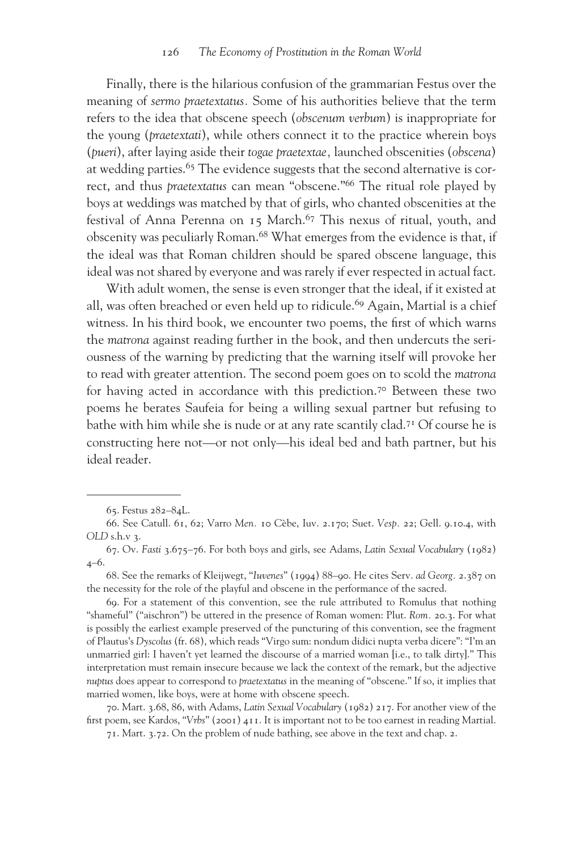Finally, there is the hilarious confusion of the grammarian Festus over the meaning of *sermo praetextatus.* Some of his authorities believe that the term refers to the idea that obscene speech (*obscenum verbum*) is inappropriate for the young (*praetextati*), while others connect it to the practice wherein boys (*pueri*), after laying aside their *togae praetextae,* launched obscenities (*obscena*) at wedding parties.<sup>65</sup> The evidence suggests that the second alternative is correct, and thus *praetextatus* can mean "obscene."66 The ritual role played by boys at weddings was matched by that of girls, who chanted obscenities at the festival of Anna Perenna on  $15$  March.<sup>67</sup> This nexus of ritual, youth, and obscenity was peculiarly Roman.68 What emerges from the evidence is that, if the ideal was that Roman children should be spared obscene language, this ideal was not shared by everyone and was rarely if ever respected in actual fact.

With adult women, the sense is even stronger that the ideal, if it existed at all, was often breached or even held up to ridicule.<sup>69</sup> Again, Martial is a chief witness. In his third book, we encounter two poems, the first of which warns the *matrona* against reading further in the book, and then undercuts the seriousness of the warning by predicting that the warning itself will provoke her to read with greater attention. The second poem goes on to scold the *matrona* for having acted in accordance with this prediction.<sup>70</sup> Between these two poems he berates Saufeia for being a willing sexual partner but refusing to bathe with him while she is nude or at any rate scantily clad.71 Of course he is constructing here not—or not only—his ideal bed and bath partner, but his ideal reader.

70. Mart. 3.68, 86, with Adams, *Latin Sexual Vocabulary* (1982) 217. For another view of the first poem, see Kardos, "*Vrbs*" (2001) 411. It is important not to be too earnest in reading Martial.

<sup>65.</sup> Festus 282–84L.

<sup>66.</sup> See Catull. 61, 62; Varro *Men.* 10 Cèbe, Iuv. 2.170; Suet. *Vesp.* 22; Gell. 9.10.4, with *OLD* s.h.v 3.

<sup>67.</sup> Ov. *Fasti* 3.675–76. For both boys and girls, see Adams, *Latin Sexual Vocabulary* (1982) 4–6.

<sup>68.</sup> See the remarks of Kleijwegt, "*Iuvenes*" (1994) 88–90. He cites Serv. *ad Georg.* 2.387 on the necessity for the role of the playful and obscene in the performance of the sacred.

<sup>69.</sup> For a statement of this convention, see the rule attributed to Romulus that nothing "shameful" ("aischron") be uttered in the presence of Roman women: Plut. *Rom.* 20.3. For what is possibly the earliest example preserved of the puncturing of this convention, see the fragment of Plautus's *Dyscolus* (fr. 68), which reads "Virgo sum: nondum didici nupta verba dicere": "I'm an unmarried girl: I haven't yet learned the discourse of a married woman [i.e., to talk dirty]." This interpretation must remain insecure because we lack the context of the remark, but the adjective *nuptus* does appear to correspond to *praetextatus* in the meaning of "obscene." If so, it implies that married women, like boys, were at home with obscene speech.

<sup>71.</sup> Mart. 3.72. On the problem of nude bathing, see above in the text and chap. 2.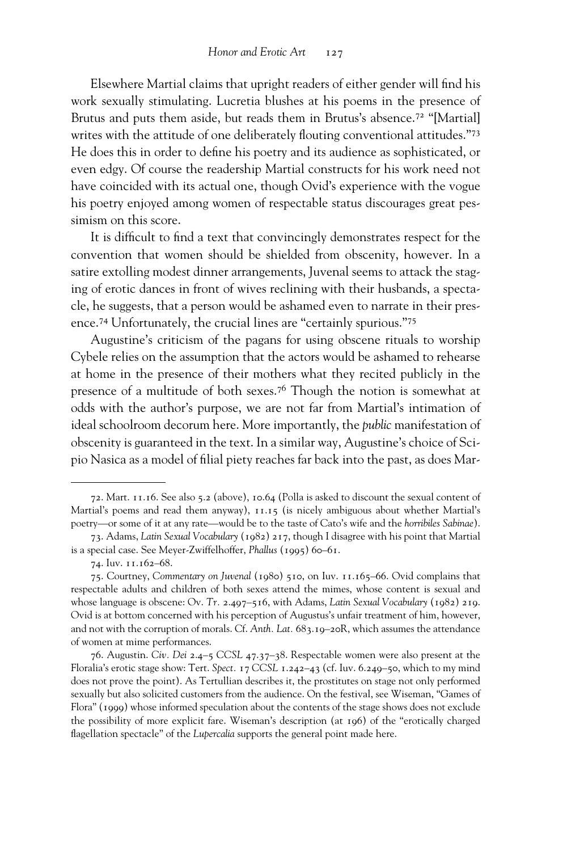Elsewhere Martial claims that upright readers of either gender will find his work sexually stimulating. Lucretia blushes at his poems in the presence of Brutus and puts them aside, but reads them in Brutus's absence.<sup>72</sup> "[Martial] writes with the attitude of one deliberately flouting conventional attitudes."73 He does this in order to define his poetry and its audience as sophisticated, or even edgy. Of course the readership Martial constructs for his work need not have coincided with its actual one, though Ovid's experience with the vogue his poetry enjoyed among women of respectable status discourages great pessimism on this score.

It is difficult to find a text that convincingly demonstrates respect for the convention that women should be shielded from obscenity, however. In a satire extolling modest dinner arrangements, Juvenal seems to attack the staging of erotic dances in front of wives reclining with their husbands, a spectacle, he suggests, that a person would be ashamed even to narrate in their presence.74 Unfortunately, the crucial lines are "certainly spurious."75

Augustine's criticism of the pagans for using obscene rituals to worship Cybele relies on the assumption that the actors would be ashamed to rehearse at home in the presence of their mothers what they recited publicly in the presence of a multitude of both sexes.76 Though the notion is somewhat at odds with the author's purpose, we are not far from Martial's intimation of ideal schoolroom decorum here. More importantly, the *public* manifestation of obscenity is guaranteed in the text. In a similar way, Augustine's choice of Scipio Nasica as a model of filial piety reaches far back into the past, as does Mar-

<sup>72.</sup> Mart. 11.16. See also 5.2 (above), 10.64 (Polla is asked to discount the sexual content of Martial's poems and read them anyway), 11.15 (is nicely ambiguous about whether Martial's poetry—or some of it at any rate—would be to the taste of Cato's wife and the *horribiles Sabinae*).

<sup>73.</sup> Adams, *Latin Sexual Vocabulary* (1982) 217, though I disagree with his point that Martial is a special case. See Meyer-Zwiffelhoffer, *Phallus* (1995) 60–61.

<sup>74.</sup> Iuv. 11.162–68.

<sup>75.</sup> Courtney, *Commentary on Juvenal* (1980) 510, on Iuv. 11.165–66. Ovid complains that respectable adults and children of both sexes attend the mimes, whose content is sexual and whose language is obscene: Ov. *Tr.* 2.497–516, with Adams, *Latin Sexual Vocabulary* (1982) 219. Ovid is at bottom concerned with his perception of Augustus's unfair treatment of him, however, and not with the corruption of morals. Cf. *Anth. Lat.* 683.19–20R, which assumes the attendance of women at mime performances.

<sup>76.</sup> Augustin. *Civ. Dei* 2.4–5 *CCSL* 47.37–38. Respectable women were also present at the Floralia's erotic stage show: Tert. *Spect.* 17 *CCSL* 1.242–43 (cf. Iuv. 6.249–50, which to my mind does not prove the point). As Tertullian describes it, the prostitutes on stage not only performed sexually but also solicited customers from the audience. On the festival, see Wiseman, "Games of Flora" (1999) whose informed speculation about the contents of the stage shows does not exclude the possibility of more explicit fare. Wiseman's description (at 196) of the "erotically charged flagellation spectacle" of the *Lupercalia* supports the general point made here.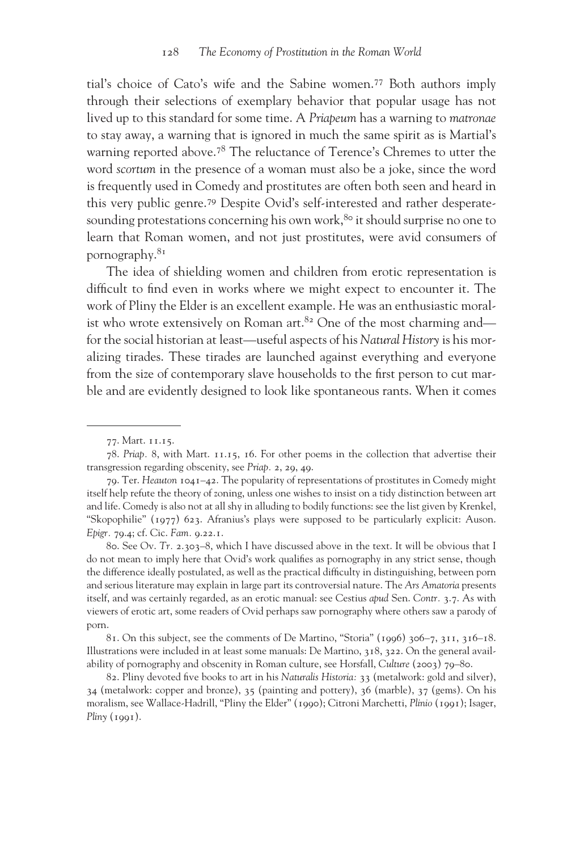tial's choice of Cato's wife and the Sabine women.77 Both authors imply through their selections of exemplary behavior that popular usage has not lived up to this standard for some time. A *Priapeum* has a warning to *matronae* to stay away, a warning that is ignored in much the same spirit as is Martial's warning reported above.<sup>78</sup> The reluctance of Terence's Chremes to utter the word *scortum* in the presence of a woman must also be a joke, since the word is frequently used in Comedy and prostitutes are often both seen and heard in this very public genre.79 Despite Ovid's self-interested and rather desperatesounding protestations concerning his own work,  $80$  it should surprise no one to learn that Roman women, and not just prostitutes, were avid consumers of pornography.81

The idea of shielding women and children from erotic representation is difficult to find even in works where we might expect to encounter it. The work of Pliny the Elder is an excellent example. He was an enthusiastic moralist who wrote extensively on Roman art.<sup>82</sup> One of the most charming and for the social historian at least—useful aspects of his *Natural History* is his moralizing tirades. These tirades are launched against everything and everyone from the size of contemporary slave households to the first person to cut marble and are evidently designed to look like spontaneous rants. When it comes

80. See Ov. *Tr.* 2.303–8, which I have discussed above in the text. It will be obvious that I do not mean to imply here that Ovid's work qualifies as pornography in any strict sense, though the difference ideally postulated, as well as the practical difficulty in distinguishing, between porn and serious literature may explain in large part its controversial nature. The *Ars Amatoria* presents itself, and was certainly regarded, as an erotic manual: see Cestius *apud* Sen. *Contr.* 3.7. As with viewers of erotic art, some readers of Ovid perhaps saw pornography where others saw a parody of porn.

81. On this subject, see the comments of De Martino, "Storia" (1996) 306–7, 311, 316–18. Illustrations were included in at least some manuals: De Martino, 318, 322. On the general availability of pornography and obscenity in Roman culture, see Horsfall, *Culture* (2003) 79–80.

82. Pliny devoted five books to art in his *Naturalis Historia*: 33 (metalwork: gold and silver), 34 (metalwork: copper and bronze), 35 (painting and pottery), 36 (marble), 37 (gems). On his moralism, see Wallace-Hadrill, "Pliny the Elder" (1990); Citroni Marchetti, *Plinio* (1991); Isager, *Pliny* (1991).

<sup>77.</sup> Mart. 11.15.

<sup>78.</sup> *Priap.* 8, with Mart. 11.15, 16. For other poems in the collection that advertise their transgression regarding obscenity, see *Priap.* 2, 29, 49.

<sup>79.</sup> Ter. *Heauton* 1041–42. The popularity of representations of prostitutes in Comedy might itself help refute the theory of zoning, unless one wishes to insist on a tidy distinction between art and life. Comedy is also not at all shy in alluding to bodily functions: see the list given by Krenkel, "Skopophilie" (1977) 623. Afranius's plays were supposed to be particularly explicit: Auson. *Epigr.* 79.4; cf. Cic. *Fam.* 9.22.1.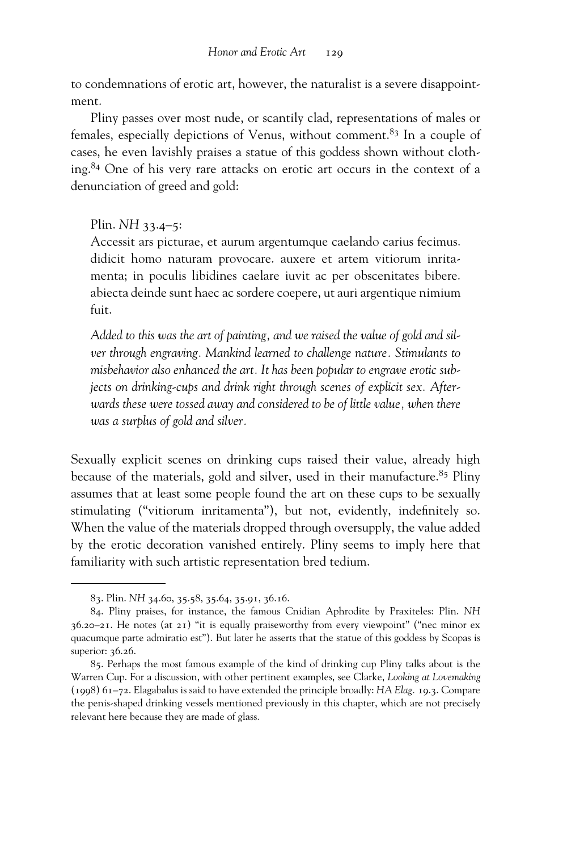to condemnations of erotic art, however, the naturalist is a severe disappointment.

Pliny passes over most nude, or scantily clad, representations of males or females, especially depictions of Venus, without comment.<sup>83</sup> In a couple of cases, he even lavishly praises a statue of this goddess shown without clothing.84 One of his very rare attacks on erotic art occurs in the context of a denunciation of greed and gold:

## Plin. *NH* 33.4–5:

Accessit ars picturae, et aurum argentumque caelando carius fecimus. didicit homo naturam provocare. auxere et artem vitiorum inritamenta; in poculis libidines caelare iuvit ac per obscenitates bibere. abiecta deinde sunt haec ac sordere coepere, ut auri argentique nimium fuit.

*Added to this was the art of painting, and we raised the value of gold and silver through engraving. Mankind learned to challenge nature. Stimulants to misbehavior also enhanced the art. It has been popular to engrave erotic subjects on drinking-cups and drink right through scenes of explicit sex. Afterwards these were tossed away and considered to be of little value, when there was a surplus of gold and silver.* 

Sexually explicit scenes on drinking cups raised their value, already high because of the materials, gold and silver, used in their manufacture.<sup>85</sup> Pliny assumes that at least some people found the art on these cups to be sexually stimulating ("vitiorum inritamenta"), but not, evidently, indefinitely so. When the value of the materials dropped through oversupply, the value added by the erotic decoration vanished entirely. Pliny seems to imply here that familiarity with such artistic representation bred tedium.

<sup>83.</sup> Plin. *NH* 34.60, 35.58, 35.64, 35.91, 36.16.

<sup>84.</sup> Pliny praises, for instance, the famous Cnidian Aphrodite by Praxiteles: Plin. *NH* 36.20–21. He notes (at 21) "it is equally praiseworthy from every viewpoint" ("nec minor ex quacumque parte admiratio est"). But later he asserts that the statue of this goddess by Scopas is superior: 36.26.

<sup>85.</sup> Perhaps the most famous example of the kind of drinking cup Pliny talks about is the Warren Cup. For a discussion, with other pertinent examples, see Clarke, *Looking at Lovemaking* (1998) 61–72. Elagabalus is said to have extended the principle broadly: *HA Elag.* 19.3. Compare the penis-shaped drinking vessels mentioned previously in this chapter, which are not precisely relevant here because they are made of glass.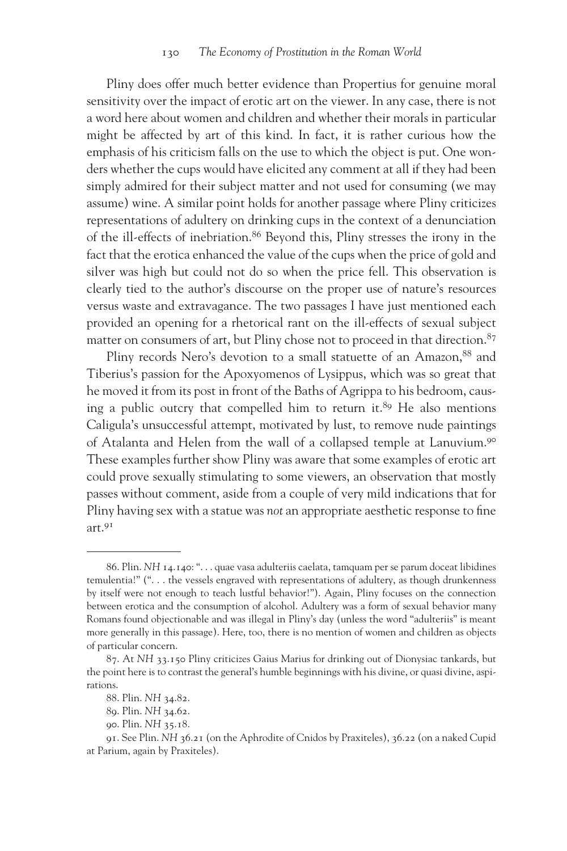Pliny does offer much better evidence than Propertius for genuine moral sensitivity over the impact of erotic art on the viewer. In any case, there is not a word here about women and children and whether their morals in particular might be affected by art of this kind. In fact, it is rather curious how the emphasis of his criticism falls on the use to which the object is put. One wonders whether the cups would have elicited any comment at all if they had been simply admired for their subject matter and not used for consuming (we may assume) wine. A similar point holds for another passage where Pliny criticizes representations of adultery on drinking cups in the context of a denunciation of the ill-effects of inebriation.<sup>86</sup> Beyond this, Pliny stresses the irony in the fact that the erotica enhanced the value of the cups when the price of gold and silver was high but could not do so when the price fell. This observation is clearly tied to the author's discourse on the proper use of nature's resources versus waste and extravagance. The two passages I have just mentioned each provided an opening for a rhetorical rant on the ill-effects of sexual subject matter on consumers of art, but Pliny chose not to proceed in that direction.<sup>87</sup>

Pliny records Nero's devotion to a small statuette of an Amazon, 88 and Tiberius's passion for the Apoxyomenos of Lysippus, which was so great that he moved it from its post in front of the Baths of Agrippa to his bedroom, causing a public outcry that compelled him to return it.<sup>89</sup> He also mentions Caligula's unsuccessful attempt, motivated by lust, to remove nude paintings of Atalanta and Helen from the wall of a collapsed temple at Lanuvium.90 These examples further show Pliny was aware that some examples of erotic art could prove sexually stimulating to some viewers, an observation that mostly passes without comment, aside from a couple of very mild indications that for Pliny having sex with a statue was not an appropriate aesthetic response to fine art.91

<sup>86.</sup> Plin. *NH* 14.140: "... quae vasa adulteriis caelata, tamquam per se parum doceat libidines temulentia!" (". . . the vessels engraved with representations of adultery, as though drunkenness by itself were not enough to teach lustful behavior!"). Again, Pliny focuses on the connection between erotica and the consumption of alcohol. Adultery was a form of sexual behavior many Romans found objectionable and was illegal in Pliny's day (unless the word "adulteriis" is meant more generally in this passage). Here, too, there is no mention of women and children as objects of particular concern.

<sup>87.</sup> At *NH* 33.150 Pliny criticizes Gaius Marius for drinking out of Dionysiac tankards, but the point here is to contrast the general's humble beginnings with his divine, or quasi divine, aspirations.

<sup>88.</sup> Plin. *NH* 34.82.

<sup>89.</sup> Plin. *NH* 34.62.

<sup>90.</sup> Plin. *NH* 35.18.

<sup>91.</sup> See Plin. *NH* 36.21 (on the Aphrodite of Cnidos by Praxiteles), 36.22 (on a naked Cupid at Parium, again by Praxiteles).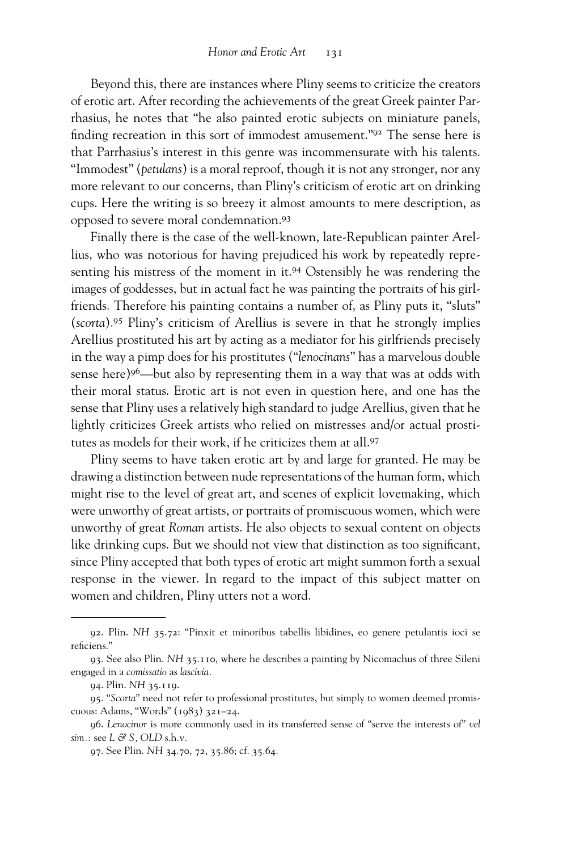Beyond this, there are instances where Pliny seems to criticize the creators of erotic art. After recording the achievements of the great Greek painter Parrhasius, he notes that "he also painted erotic subjects on miniature panels, finding recreation in this sort of immodest amusement."<sup>92</sup> The sense here is that Parrhasius's interest in this genre was incommensurate with his talents. "Immodest" (*petulans*) is a moral reproof, though it is not any stronger, nor any more relevant to our concerns, than Pliny's criticism of erotic art on drinking cups. Here the writing is so breezy it almost amounts to mere description, as opposed to severe moral condemnation.93

Finally there is the case of the well-known, late-Republican painter Arellius, who was notorious for having prejudiced his work by repeatedly representing his mistress of the moment in it.94 Ostensibly he was rendering the images of goddesses, but in actual fact he was painting the portraits of his girlfriends. Therefore his painting contains a number of, as Pliny puts it, "sluts" (*scorta*).95 Pliny's criticism of Arellius is severe in that he strongly implies Arellius prostituted his art by acting as a mediator for his girlfriends precisely in the way a pimp does for his prostitutes ("*lenocinans*" has a marvelous double sense here)<sup>96</sup>—but also by representing them in a way that was at odds with their moral status. Erotic art is not even in question here, and one has the sense that Pliny uses a relatively high standard to judge Arellius, given that he lightly criticizes Greek artists who relied on mistresses and/or actual prostitutes as models for their work, if he criticizes them at all.97

Pliny seems to have taken erotic art by and large for granted. He may be drawing a distinction between nude representations of the human form, which might rise to the level of great art, and scenes of explicit lovemaking, which were unworthy of great artists, or portraits of promiscuous women, which were unworthy of great *Roman* artists. He also objects to sexual content on objects like drinking cups. But we should not view that distinction as too significant, since Pliny accepted that both types of erotic art might summon forth a sexual response in the viewer. In regard to the impact of this subject matter on women and children, Pliny utters not a word.

<sup>92.</sup> Plin. *NH* 35.72: "Pinxit et minoribus tabellis libidines, eo genere petulantis ioci se reficiens."

<sup>93.</sup> See also Plin. *NH* 35.110, where he describes a painting by Nicomachus of three Sileni engaged in a *comissatio* as *lascivia.*

<sup>94.</sup> Plin. *NH* 35.119.

<sup>95. &</sup>quot;*Scorta*" need not refer to professional prostitutes, but simply to women deemed promiscuous: Adams, "Words" (1983) 321–24.

<sup>96.</sup> *Lenocinor* is more commonly used in its transferred sense of "serve the interests of" *vel sim.:* see *L & S, OLD* s.h.v.

<sup>97.</sup> See Plin. *NH* 34.70, 72, 35.86; cf. 35.64.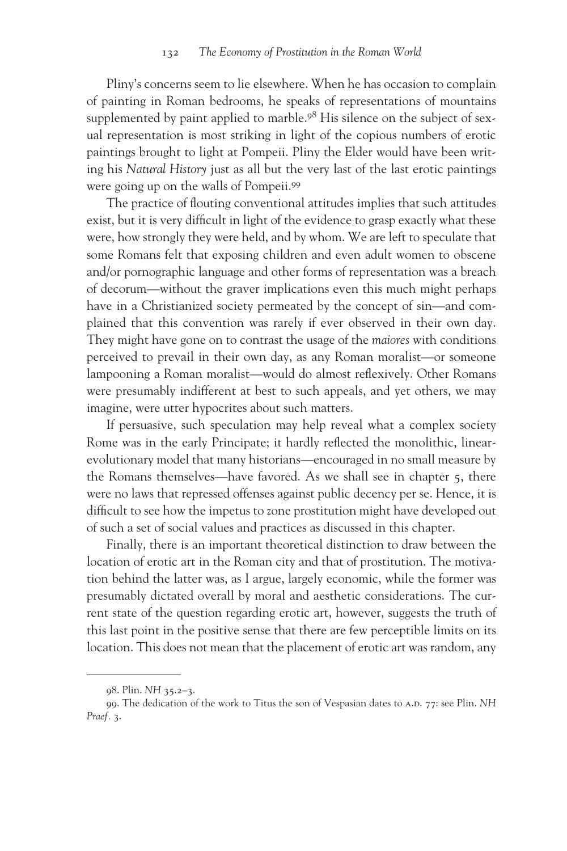Pliny's concerns seem to lie elsewhere. When he has occasion to complain of painting in Roman bedrooms, he speaks of representations of mountains supplemented by paint applied to marble.<sup>98</sup> His silence on the subject of sexual representation is most striking in light of the copious numbers of erotic paintings brought to light at Pompeii. Pliny the Elder would have been writing his *Natural History* just as all but the very last of the last erotic paintings were going up on the walls of Pompeii.99

The practice of flouting conventional attitudes implies that such attitudes exist, but it is very difficult in light of the evidence to grasp exactly what these were, how strongly they were held, and by whom. We are left to speculate that some Romans felt that exposing children and even adult women to obscene and/or pornographic language and other forms of representation was a breach of decorum—without the graver implications even this much might perhaps have in a Christianized society permeated by the concept of sin—and complained that this convention was rarely if ever observed in their own day. They might have gone on to contrast the usage of the *maiores* with conditions perceived to prevail in their own day, as any Roman moralist—or someone lampooning a Roman moralist—would do almost reflexively. Other Romans were presumably indifferent at best to such appeals, and yet others, we may imagine, were utter hypocrites about such matters.

If persuasive, such speculation may help reveal what a complex society Rome was in the early Principate; it hardly reflected the monolithic, linearevolutionary model that many historians—encouraged in no small measure by the Romans themselves—have favored. As we shall see in chapter 5, there were no laws that repressed offenses against public decency per se. Hence, it is difficult to see how the impetus to zone prostitution might have developed out of such a set of social values and practices as discussed in this chapter.

Finally, there is an important theoretical distinction to draw between the location of erotic art in the Roman city and that of prostitution. The motivation behind the latter was, as I argue, largely economic, while the former was presumably dictated overall by moral and aesthetic considerations. The current state of the question regarding erotic art, however, suggests the truth of this last point in the positive sense that there are few perceptible limits on its location. This does not mean that the placement of erotic art was random, any

<sup>98.</sup> Plin. *NH* 35.2–3.

<sup>99.</sup> The dedication of the work to Titus the son of Vespasian dates to a.d. 77: see Plin. *NH Praef.* 3.